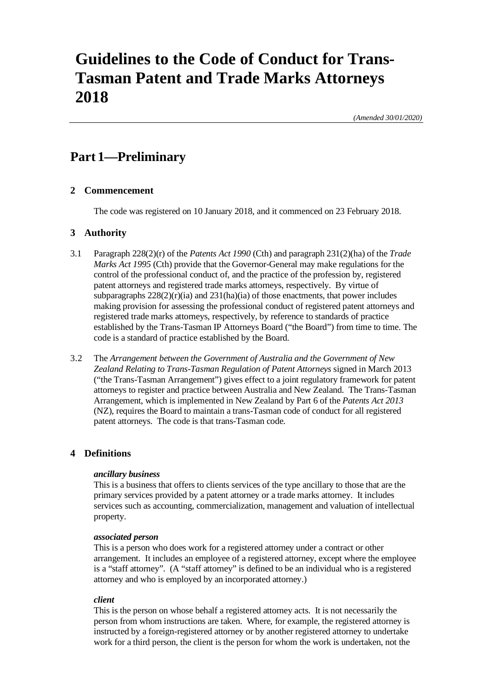# **Guidelines to the Code of Conduct for Trans-Tasman Patent and Trade Marks Attorneys 2018**

*(Amended 30/01/2020)*

## **Part 1—Preliminary**

### **2 Commencement**

The code was registered on 10 January 2018, and it commenced on 23 February 2018.

### **3 Authority**

- 3.1 Paragraph 228(2)(r) of the *Patents Act 1990* (Cth) and paragraph 231(2)(ha) of the *Trade Marks Act 1995* (Cth) provide that the Governor-General may make regulations for the control of the professional conduct of, and the practice of the profession by, registered patent attorneys and registered trade marks attorneys, respectively. By virtue of subparagraphs  $228(2)(r)(ia)$  and  $231(ha)(ia)$  of those enactments, that power includes making provision for assessing the professional conduct of registered patent attorneys and registered trade marks attorneys, respectively, by reference to standards of practice established by the Trans-Tasman IP Attorneys Board ("the Board") from time to time. The code is a standard of practice established by the Board.
- 3.2 The *Arrangement between the Government of Australia and the Government of New Zealand Relating to Trans-Tasman Regulation of Patent Attorneys* signed in March 2013 ("the Trans-Tasman Arrangement") gives effect to a joint regulatory framework for patent attorneys to register and practice between Australia and New Zealand. The Trans-Tasman Arrangement, which is implemented in New Zealand by Part 6 of the *Patents Act 2013* (NZ), requires the Board to maintain a trans-Tasman code of conduct for all registered patent attorneys. The code is that trans-Tasman code.

### **4 Definitions**

### *ancillary business*

This is a business that offers to clients services of the type ancillary to those that are the primary services provided by a patent attorney or a trade marks attorney. It includes services such as accounting, commercialization, management and valuation of intellectual property.

### *associated person*

This is a person who does work for a registered attorney under a contract or other arrangement. It includes an employee of a registered attorney, except where the employee is a "staff attorney". (A "staff attorney" is defined to be an individual who is a registered attorney and who is employed by an incorporated attorney.)

### *client*

This is the person on whose behalf a registered attorney acts. It is not necessarily the person from whom instructions are taken. Where, for example, the registered attorney is instructed by a foreign-registered attorney or by another registered attorney to undertake work for a third person, the client is the person for whom the work is undertaken, not the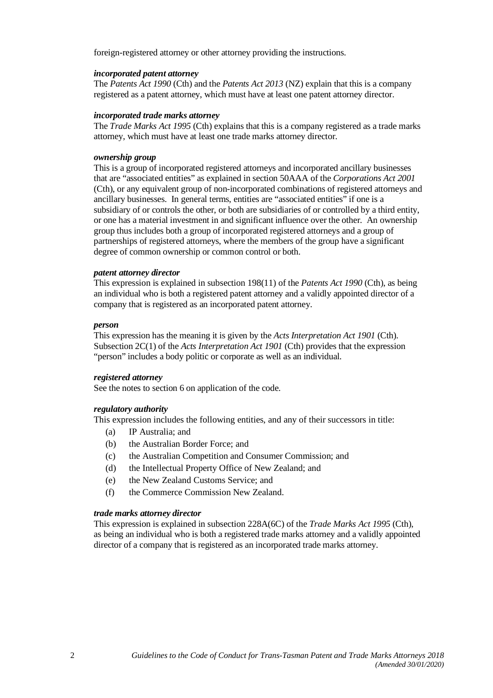foreign-registered attorney or other attorney providing the instructions.

### *incorporated patent attorney*

The *Patents Act 1990* (Cth) and the *Patents Act 2013* (NZ) explain that this is a company registered as a patent attorney, which must have at least one patent attorney director.

#### *incorporated trade marks attorney*

The *Trade Marks Act 1995* (Cth) explains that this is a company registered as a trade marks attorney, which must have at least one trade marks attorney director.

### *ownership group*

This is a group of incorporated registered attorneys and incorporated ancillary businesses that are "associated entities" as explained in section 50AAA of the *Corporations Act 2001* (Cth), or any equivalent group of non-incorporated combinations of registered attorneys and ancillary businesses. In general terms, entities are "associated entities" if one is a subsidiary of or controls the other, or both are subsidiaries of or controlled by a third entity, or one has a material investment in and significant influence over the other. An ownership group thus includes both a group of incorporated registered attorneys and a group of partnerships of registered attorneys, where the members of the group have a significant degree of common ownership or common control or both.

### *patent attorney director*

This expression is explained in subsection 198(11) of the *Patents Act 1990* (Cth), as being an individual who is both a registered patent attorney and a validly appointed director of a company that is registered as an incorporated patent attorney.

#### *person*

This expression has the meaning it is given by the *Acts Interpretation Act 1901* (Cth). Subsection 2C(1) of the *Acts Interpretation Act 1901* (Cth) provides that the expression "person" includes a body politic or corporate as well as an individual.

#### *registered attorney*

See the notes to section 6 on application of the code.

### *regulatory authority*

This expression includes the following entities, and any of their successors in title:

- (a) IP Australia; and
- (b) the Australian Border Force; and
- (c) the Australian Competition and Consumer Commission; and
- (d) the Intellectual Property Office of New Zealand; and
- (e) the New Zealand Customs Service; and
- (f) the Commerce Commission New Zealand.

#### *trade marks attorney director*

This expression is explained in subsection 228A(6C) of the *Trade Marks Act 1995* (Cth), as being an individual who is both a registered trade marks attorney and a validly appointed director of a company that is registered as an incorporated trade marks attorney.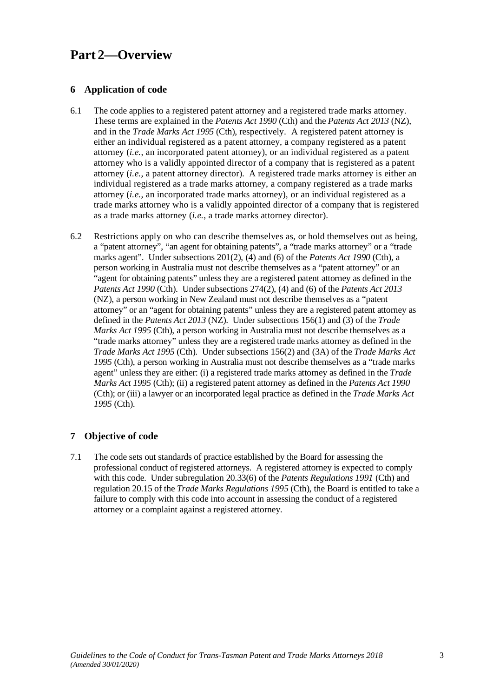## **Part 2—Overview**

### **6 Application of code**

- 6.1 The code applies to a registered patent attorney and a registered trade marks attorney. These terms are explained in the *Patents Act 1990* (Cth) and the *Patents Act 2013* (NZ), and in the *Trade Marks Act 1995* (Cth), respectively. A registered patent attorney is either an individual registered as a patent attorney, a company registered as a patent attorney (*i.e.*, an incorporated patent attorney), or an individual registered as a patent attorney who is a validly appointed director of a company that is registered as a patent attorney (*i.e.*, a patent attorney director). A registered trade marks attorney is either an individual registered as a trade marks attorney, a company registered as a trade marks attorney (*i.e.*, an incorporated trade marks attorney), or an individual registered as a trade marks attorney who is a validly appointed director of a company that is registered as a trade marks attorney (*i.e.*, a trade marks attorney director).
- 6.2 Restrictions apply on who can describe themselves as, or hold themselves out as being, a "patent attorney", "an agent for obtaining patents", a "trade marks attorney" or a "trade marks agent". Under subsections 201(2), (4) and (6) of the *Patents Act 1990* (Cth), a person working in Australia must not describe themselves as a "patent attorney" or an "agent for obtaining patents" unless they are a registered patent attorney as defined in the *Patents Act 1990* (Cth). Under subsections 274(2), (4) and (6) of the *Patents Act 2013* (NZ), a person working in New Zealand must not describe themselves as a "patent attorney" or an "agent for obtaining patents" unless they are a registered patent attorney as defined in the *Patents Act 2013* (NZ). Under subsections 156(1) and (3) of the *Trade Marks Act 1995* (Cth), a person working in Australia must not describe themselves as a "trade marks attorney" unless they are a registered trade marks attorney as defined in the *Trade Marks Act 1995* (Cth). Under subsections 156(2) and (3A) of the *Trade Marks Act 1995* (Cth), a person working in Australia must not describe themselves as a "trade marks agent" unless they are either: (i) a registered trade marks attorney as defined in the *Trade Marks Act 1995* (Cth); (ii) a registered patent attorney as defined in the *Patents Act 1990* (Cth); or (iii) a lawyer or an incorporated legal practice as defined in the *Trade Marks Act 1995* (Cth).

## **7 Objective of code**

7.1 The code sets out standards of practice established by the Board for assessing the professional conduct of registered attorneys. A registered attorney is expected to comply with this code. Under subregulation 20.33(6) of the *Patents Regulations 1991* (Cth) and regulation 20.15 of the *Trade Marks Regulations 1995* (Cth), the Board is entitled to take a failure to comply with this code into account in assessing the conduct of a registered attorney or a complaint against a registered attorney.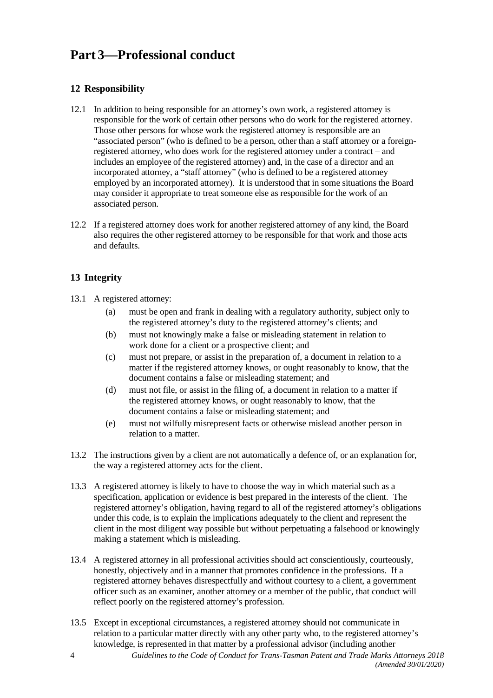## **Part 3—Professional conduct**

## **12 Responsibility**

- 12.1 In addition to being responsible for an attorney's own work, a registered attorney is responsible for the work of certain other persons who do work for the registered attorney. Those other persons for whose work the registered attorney is responsible are an "associated person" (who is defined to be a person, other than a staff attorney or a foreignregistered attorney, who does work for the registered attorney under a contract – and includes an employee of the registered attorney) and, in the case of a director and an incorporated attorney, a "staff attorney" (who is defined to be a registered attorney employed by an incorporated attorney). It is understood that in some situations the Board may consider it appropriate to treat someone else as responsible for the work of an associated person.
- 12.2 If a registered attorney does work for another registered attorney of any kind, the Board also requires the other registered attorney to be responsible for that work and those acts and defaults.

## **13 Integrity**

13.1 A registered attorney:

- (a) must be open and frank in dealing with a regulatory authority, subject only to the registered attorney's duty to the registered attorney's clients; and
- (b) must not knowingly make a false or misleading statement in relation to work done for a client or a prospective client; and
- (c) must not prepare, or assist in the preparation of, a document in relation to a matter if the registered attorney knows, or ought reasonably to know, that the document contains a false or misleading statement; and
- (d) must not file, or assist in the filing of, a document in relation to a matter if the registered attorney knows, or ought reasonably to know, that the document contains a false or misleading statement; and
- (e) must not wilfully misrepresent facts or otherwise mislead another person in relation to a matter.
- 13.2 The instructions given by a client are not automatically a defence of, or an explanation for, the way a registered attorney acts for the client.
- 13.3 A registered attorney is likely to have to choose the way in which material such as a specification, application or evidence is best prepared in the interests of the client. The registered attorney's obligation, having regard to all of the registered attorney's obligations under this code, is to explain the implications adequately to the client and represent the client in the most diligent way possible but without perpetuating a falsehood or knowingly making a statement which is misleading.
- 13.4 A registered attorney in all professional activities should act conscientiously, courteously, honestly, objectively and in a manner that promotes confidence in the professions. If a registered attorney behaves disrespectfully and without courtesy to a client, a government officer such as an examiner, another attorney or a member of the public, that conduct will reflect poorly on the registered attorney's profession.
- 13.5 Except in exceptional circumstances, a registered attorney should not communicate in relation to a particular matter directly with any other party who, to the registered attorney's knowledge, is represented in that matter by a professional advisor (including another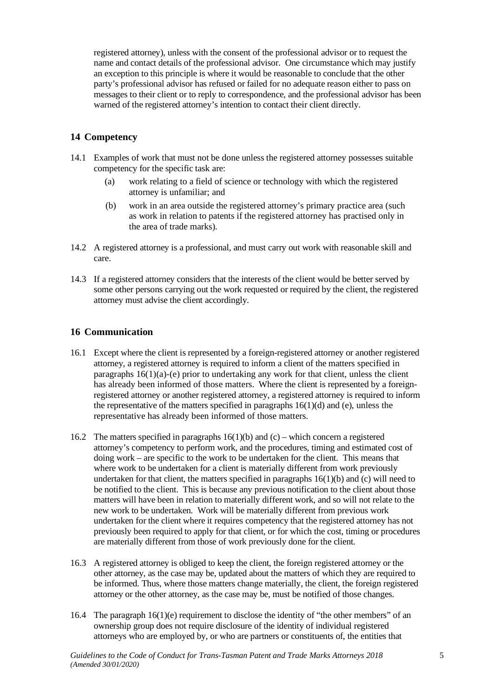registered attorney), unless with the consent of the professional advisor or to request the name and contact details of the professional advisor. One circumstance which may justify an exception to this principle is where it would be reasonable to conclude that the other party's professional advisor has refused or failed for no adequate reason either to pass on messages to their client or to reply to correspondence, and the professional advisor has been warned of the registered attorney's intention to contact their client directly.

### **14 Competency**

- 14.1 Examples of work that must not be done unless the registered attorney possesses suitable competency for the specific task are:
	- (a) work relating to a field of science or technology with which the registered attorney is unfamiliar; and
	- (b) work in an area outside the registered attorney's primary practice area (such as work in relation to patents if the registered attorney has practised only in the area of trade marks).
- 14.2 A registered attorney is a professional, and must carry out work with reasonable skill and care.
- 14.3 If a registered attorney considers that the interests of the client would be better served by some other persons carrying out the work requested or required by the client, the registered attorney must advise the client accordingly.

### **16 Communication**

- 16.1 Except where the client is represented by a foreign-registered attorney or another registered attorney, a registered attorney is required to inform a client of the matters specified in paragraphs  $16(1)(a)$ -(e) prior to undertaking any work for that client, unless the client has already been informed of those matters. Where the client is represented by a foreignregistered attorney or another registered attorney, a registered attorney is required to inform the representative of the matters specified in paragraphs  $16(1)(d)$  and (e), unless the representative has already been informed of those matters.
- 16.2 The matters specified in paragraphs  $16(1)(b)$  and (c) which concern a registered attorney's competency to perform work, and the procedures, timing and estimated cost of doing work – are specific to the work to be undertaken for the client. This means that where work to be undertaken for a client is materially different from work previously undertaken for that client, the matters specified in paragraphs  $16(1)(b)$  and (c) will need to be notified to the client. This is because any previous notification to the client about those matters will have been in relation to materially different work, and so will not relate to the new work to be undertaken. Work will be materially different from previous work undertaken for the client where it requires competency that the registered attorney has not previously been required to apply for that client, or for which the cost, timing or procedures are materially different from those of work previously done for the client.
- 16.3 A registered attorney is obliged to keep the client, the foreign registered attorney or the other attorney, as the case may be, updated about the matters of which they are required to be informed. Thus, where those matters change materially, the client, the foreign registered attorney or the other attorney, as the case may be, must be notified of those changes.
- 16.4 The paragraph 16(1)(e) requirement to disclose the identity of "the other members" of an ownership group does not require disclosure of the identity of individual registered attorneys who are employed by, or who are partners or constituents of, the entities that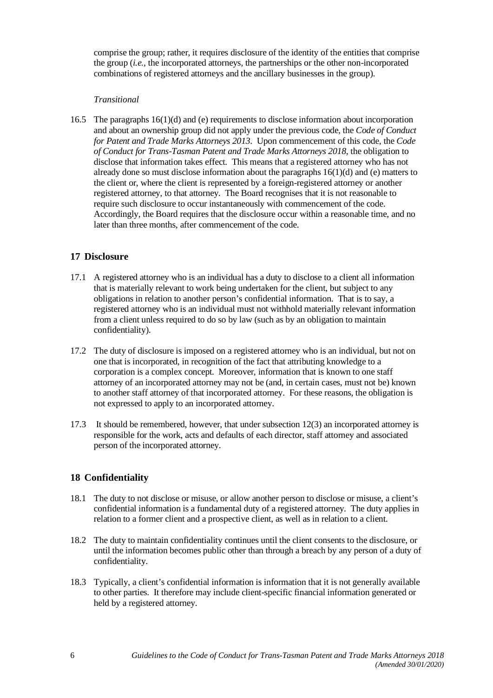comprise the group; rather, it requires disclosure of the identity of the entities that comprise the group (*i.e.*, the incorporated attorneys, the partnerships or the other non-incorporated combinations of registered attorneys and the ancillary businesses in the group).

### *Transitional*

16.5 The paragraphs 16(1)(d) and (e) requirements to disclose information about incorporation and about an ownership group did not apply under the previous code, the *Code of Conduct for Patent and Trade Marks Attorneys 2013*. Upon commencement of this code, the *Code of Conduct for Trans-Tasman Patent and Trade Marks Attorneys 2018*, the obligation to disclose that information takes effect. This means that a registered attorney who has not already done so must disclose information about the paragraphs  $16(1)(d)$  and (e) matters to the client or, where the client is represented by a foreign-registered attorney or another registered attorney, to that attorney. The Board recognises that it is not reasonable to require such disclosure to occur instantaneously with commencement of the code. Accordingly, the Board requires that the disclosure occur within a reasonable time, and no later than three months, after commencement of the code.

### **17 Disclosure**

- 17.1 A registered attorney who is an individual has a duty to disclose to a client all information that is materially relevant to work being undertaken for the client, but subject to any obligations in relation to another person's confidential information. That is to say, a registered attorney who is an individual must not withhold materially relevant information from a client unless required to do so by law (such as by an obligation to maintain confidentiality).
- 17.2 The duty of disclosure is imposed on a registered attorney who is an individual, but not on one that is incorporated, in recognition of the fact that attributing knowledge to a corporation is a complex concept. Moreover, information that is known to one staff attorney of an incorporated attorney may not be (and, in certain cases, must not be) known to another staff attorney of that incorporated attorney. For these reasons, the obligation is not expressed to apply to an incorporated attorney.
- 17.3 It should be remembered, however, that under subsection 12(3) an incorporated attorney is responsible for the work, acts and defaults of each director, staff attorney and associated person of the incorporated attorney.

## **18 Confidentiality**

- 18.1 The duty to not disclose or misuse, or allow another person to disclose or misuse, a client's confidential information is a fundamental duty of a registered attorney. The duty applies in relation to a former client and a prospective client, as well as in relation to a client.
- 18.2 The duty to maintain confidentiality continues until the client consents to the disclosure, or until the information becomes public other than through a breach by any person of a duty of confidentiality.
- 18.3 Typically, a client's confidential information is information that it is not generally available to other parties. It therefore may include client-specific financial information generated or held by a registered attorney.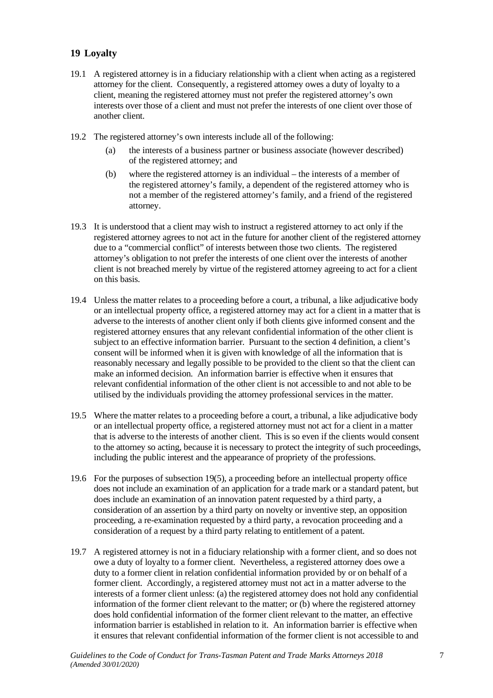### **19 Loyalty**

- 19.1 A registered attorney is in a fiduciary relationship with a client when acting as a registered attorney for the client. Consequently, a registered attorney owes a duty of loyalty to a client, meaning the registered attorney must not prefer the registered attorney's own interests over those of a client and must not prefer the interests of one client over those of another client.
- 19.2 The registered attorney's own interests include all of the following:
	- (a) the interests of a business partner or business associate (however described) of the registered attorney; and
	- (b) where the registered attorney is an individual the interests of a member of the registered attorney's family, a dependent of the registered attorney who is not a member of the registered attorney's family, and a friend of the registered attorney.
- 19.3 It is understood that a client may wish to instruct a registered attorney to act only if the registered attorney agrees to not act in the future for another client of the registered attorney due to a "commercial conflict" of interests between those two clients. The registered attorney's obligation to not prefer the interests of one client over the interests of another client is not breached merely by virtue of the registered attorney agreeing to act for a client on this basis.
- 19.4 Unless the matter relates to a proceeding before a court, a tribunal, a like adjudicative body or an intellectual property office, a registered attorney may act for a client in a matter that is adverse to the interests of another client only if both clients give informed consent and the registered attorney ensures that any relevant confidential information of the other client is subject to an effective information barrier. Pursuant to the section 4 definition, a client's consent will be informed when it is given with knowledge of all the information that is reasonably necessary and legally possible to be provided to the client so that the client can make an informed decision. An information barrier is effective when it ensures that relevant confidential information of the other client is not accessible to and not able to be utilised by the individuals providing the attorney professional services in the matter.
- 19.5 Where the matter relates to a proceeding before a court, a tribunal, a like adjudicative body or an intellectual property office, a registered attorney must not act for a client in a matter that is adverse to the interests of another client. This is so even if the clients would consent to the attorney so acting, because it is necessary to protect the integrity of such proceedings, including the public interest and the appearance of propriety of the professions.
- 19.6 For the purposes of subsection 19(5), a proceeding before an intellectual property office does not include an examination of an application for a trade mark or a standard patent, but does include an examination of an innovation patent requested by a third party, a consideration of an assertion by a third party on novelty or inventive step, an opposition proceeding, a re-examination requested by a third party, a revocation proceeding and a consideration of a request by a third party relating to entitlement of a patent.
- 19.7 A registered attorney is not in a fiduciary relationship with a former client, and so does not owe a duty of loyalty to a former client. Nevertheless, a registered attorney does owe a duty to a former client in relation confidential information provided by or on behalf of a former client. Accordingly, a registered attorney must not act in a matter adverse to the interests of a former client unless: (a) the registered attorney does not hold any confidential information of the former client relevant to the matter; or (b) where the registered attorney does hold confidential information of the former client relevant to the matter, an effective information barrier is established in relation to it. An information barrier is effective when it ensures that relevant confidential information of the former client is not accessible to and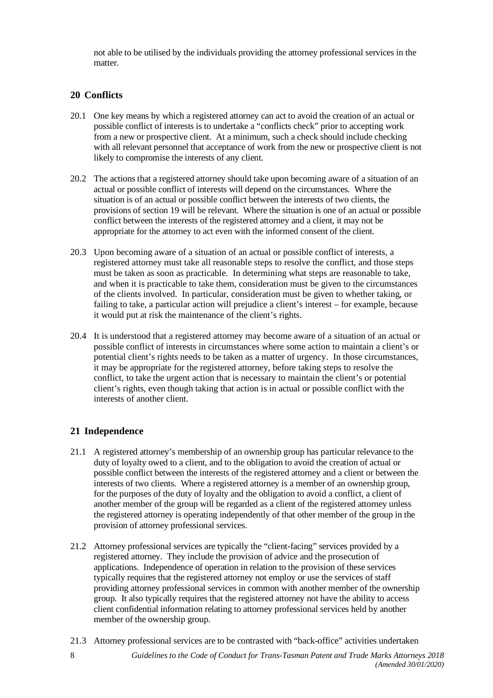not able to be utilised by the individuals providing the attorney professional services in the matter.

### **20 Conflicts**

- 20.1 One key means by which a registered attorney can act to avoid the creation of an actual or possible conflict of interests is to undertake a "conflicts check" prior to accepting work from a new or prospective client. At a minimum, such a check should include checking with all relevant personnel that acceptance of work from the new or prospective client is not likely to compromise the interests of any client.
- 20.2 The actions that a registered attorney should take upon becoming aware of a situation of an actual or possible conflict of interests will depend on the circumstances. Where the situation is of an actual or possible conflict between the interests of two clients, the provisions of section 19 will be relevant. Where the situation is one of an actual or possible conflict between the interests of the registered attorney and a client, it may not be appropriate for the attorney to act even with the informed consent of the client.
- 20.3 Upon becoming aware of a situation of an actual or possible conflict of interests, a registered attorney must take all reasonable steps to resolve the conflict, and those steps must be taken as soon as practicable. In determining what steps are reasonable to take, and when it is practicable to take them, consideration must be given to the circumstances of the clients involved. In particular, consideration must be given to whether taking, or failing to take, a particular action will prejudice a client's interest – for example, because it would put at risk the maintenance of the client's rights.
- 20.4 It is understood that a registered attorney may become aware of a situation of an actual or possible conflict of interests in circumstances where some action to maintain a client's or potential client's rights needs to be taken as a matter of urgency. In those circumstances, it may be appropriate for the registered attorney, before taking steps to resolve the conflict, to take the urgent action that is necessary to maintain the client's or potential client's rights, even though taking that action is in actual or possible conflict with the interests of another client.

### **21 Independence**

- 21.1 A registered attorney's membership of an ownership group has particular relevance to the duty of loyalty owed to a client, and to the obligation to avoid the creation of actual or possible conflict between the interests of the registered attorney and a client or between the interests of two clients. Where a registered attorney is a member of an ownership group, for the purposes of the duty of loyalty and the obligation to avoid a conflict, a client of another member of the group will be regarded as a client of the registered attorney unless the registered attorney is operating independently of that other member of the group in the provision of attorney professional services.
- 21.2 Attorney professional services are typically the "client-facing" services provided by a registered attorney. They include the provision of advice and the prosecution of applications. Independence of operation in relation to the provision of these services typically requires that the registered attorney not employ or use the services of staff providing attorney professional services in common with another member of the ownership group. It also typically requires that the registered attorney not have the ability to access client confidential information relating to attorney professional services held by another member of the ownership group.
- 21.3 Attorney professional services are to be contrasted with "back-office" activities undertaken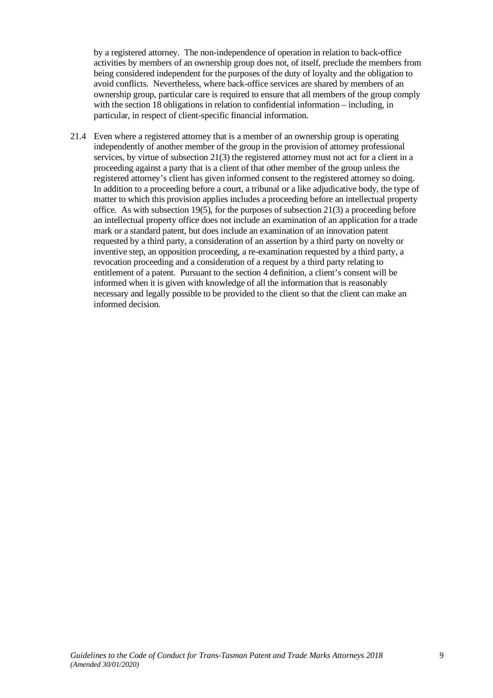by a registered attorney. The non-independence of operation in relation to back-office activities by members of an ownership group does not, of itself, preclude the members from being considered independent for the purposes of the duty of loyalty and the obligation to avoid conflicts. Nevertheless, where back-office services are shared by members of an ownership group, particular care is required to ensure that all members of the group comply with the section 18 obligations in relation to confidential information – including, in particular, in respect of client-specific financial information.

21.4 Even where a registered attorney that is a member of an ownership group is operating independently of another member of the group in the provision of attorney professional services, by virtue of subsection 21(3) the registered attorney must not act for a client in a proceeding against a party that is a client of that other member of the group unless the registered attorney's client has given informed consent to the registered attorney so doing. In addition to a proceeding before a court, a tribunal or a like adjudicative body, the type of matter to which this provision applies includes a proceeding before an intellectual property office. As with subsection 19(5), for the purposes of subsection 21(3) a proceeding before an intellectual property office does not include an examination of an application for a trade mark or a standard patent, but does include an examination of an innovation patent requested by a third party, a consideration of an assertion by a third party on novelty or inventive step, an opposition proceeding, a re-examination requested by a third party, a revocation proceeding and a consideration of a request by a third party relating to entitlement of a patent. Pursuant to the section 4 definition, a client's consent will be informed when it is given with knowledge of all the information that is reasonably necessary and legally possible to be provided to the client so that the client can make an informed decision.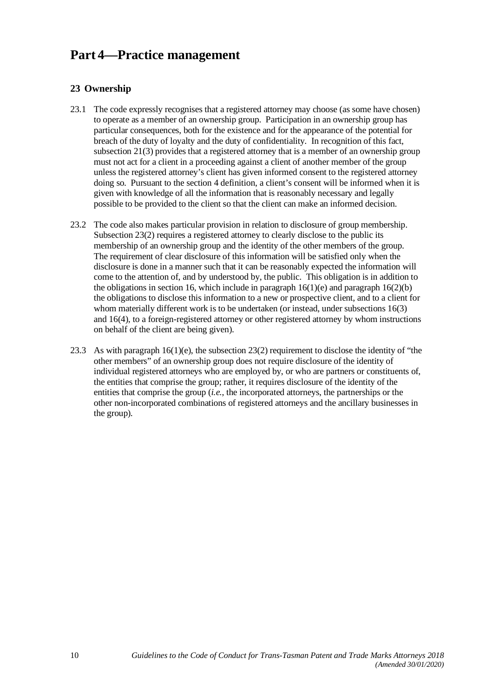## **Part 4—Practice management**

## **23 Ownership**

- 23.1 The code expressly recognises that a registered attorney may choose (as some have chosen) to operate as a member of an ownership group. Participation in an ownership group has particular consequences, both for the existence and for the appearance of the potential for breach of the duty of loyalty and the duty of confidentiality. In recognition of this fact, subsection 21(3) provides that a registered attorney that is a member of an ownership group must not act for a client in a proceeding against a client of another member of the group unless the registered attorney's client has given informed consent to the registered attorney doing so. Pursuant to the section 4 definition, a client's consent will be informed when it is given with knowledge of all the information that is reasonably necessary and legally possible to be provided to the client so that the client can make an informed decision.
- 23.2 The code also makes particular provision in relation to disclosure of group membership. Subsection 23(2) requires a registered attorney to clearly disclose to the public its membership of an ownership group and the identity of the other members of the group. The requirement of clear disclosure of this information will be satisfied only when the disclosure is done in a manner such that it can be reasonably expected the information will come to the attention of, and by understood by, the public. This obligation is in addition to the obligations in section 16, which include in paragraph  $16(1)(e)$  and paragraph  $16(2)(b)$ the obligations to disclose this information to a new or prospective client, and to a client for whom materially different work is to be undertaken (or instead, under subsections 16(3) and 16(4), to a foreign-registered attorney or other registered attorney by whom instructions on behalf of the client are being given).
- 23.3 As with paragraph 16(1)(e), the subsection 23(2) requirement to disclose the identity of "the other members" of an ownership group does not require disclosure of the identity of individual registered attorneys who are employed by, or who are partners or constituents of, the entities that comprise the group; rather, it requires disclosure of the identity of the entities that comprise the group (*i.e.*, the incorporated attorneys, the partnerships or the other non-incorporated combinations of registered attorneys and the ancillary businesses in the group).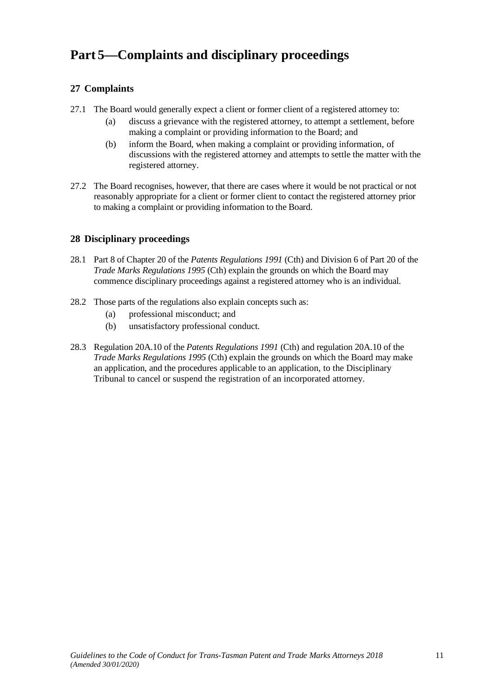## **Part 5—Complaints and disciplinary proceedings**

## **27 Complaints**

- 27.1 The Board would generally expect a client or former client of a registered attorney to:
	- (a) discuss a grievance with the registered attorney, to attempt a settlement, before making a complaint or providing information to the Board; and
	- (b) inform the Board, when making a complaint or providing information, of discussions with the registered attorney and attempts to settle the matter with the registered attorney.
- 27.2 The Board recognises, however, that there are cases where it would be not practical or not reasonably appropriate for a client or former client to contact the registered attorney prior to making a complaint or providing information to the Board.

## **28 Disciplinary proceedings**

- 28.1 Part 8 of Chapter 20 of the *Patents Regulations 1991* (Cth) and Division 6 of Part 20 of the *Trade Marks Regulations 1995* (Cth) explain the grounds on which the Board may commence disciplinary proceedings against a registered attorney who is an individual.
- 28.2 Those parts of the regulations also explain concepts such as:
	- (a) professional misconduct; and
	- (b) unsatisfactory professional conduct.
- 28.3 Regulation 20A.10 of the *Patents Regulations 1991* (Cth) and regulation 20A.10 of the *Trade Marks Regulations 1995* (Cth) explain the grounds on which the Board may make an application, and the procedures applicable to an application, to the Disciplinary Tribunal to cancel or suspend the registration of an incorporated attorney.